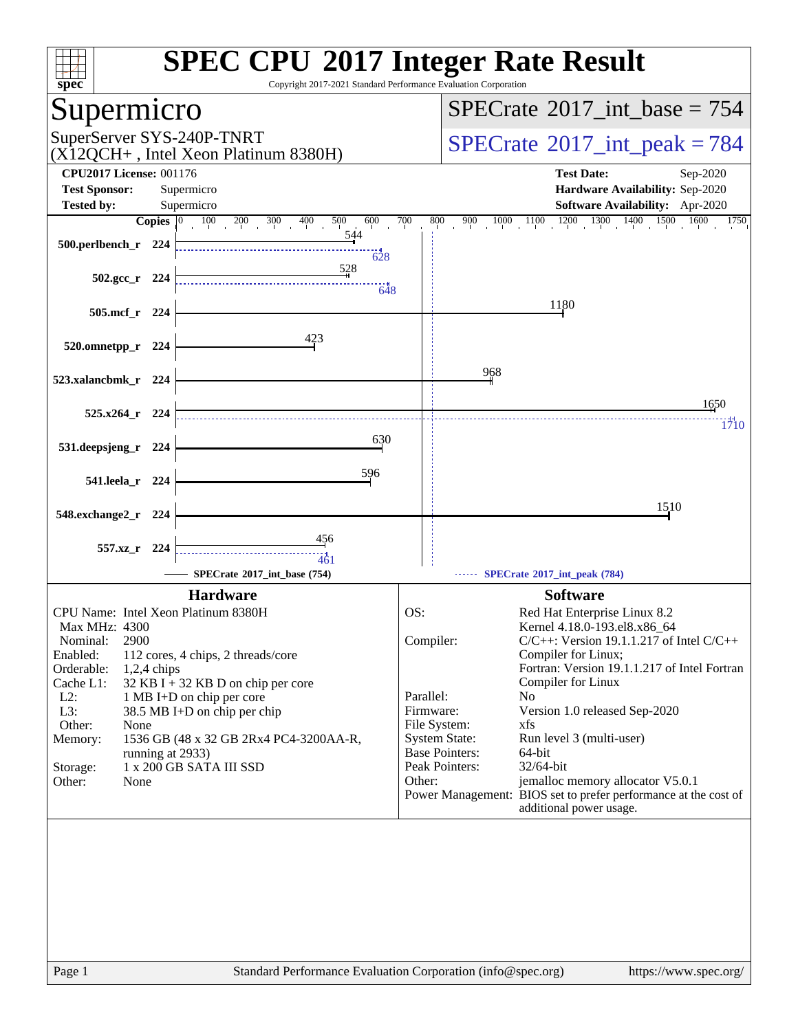| $spec^*$                                                                                                                                                                                                                                                                                                                                                                                                                                         | <b>SPEC CPU®2017 Integer Rate Result</b><br>Copyright 2017-2021 Standard Performance Evaluation Corporation                                                                                                                                                                                                                                                                                                                                                                                                                                                                                          |
|--------------------------------------------------------------------------------------------------------------------------------------------------------------------------------------------------------------------------------------------------------------------------------------------------------------------------------------------------------------------------------------------------------------------------------------------------|------------------------------------------------------------------------------------------------------------------------------------------------------------------------------------------------------------------------------------------------------------------------------------------------------------------------------------------------------------------------------------------------------------------------------------------------------------------------------------------------------------------------------------------------------------------------------------------------------|
| Supermicro                                                                                                                                                                                                                                                                                                                                                                                                                                       | $SPECrate^{\circledast}2017$ int base = 754                                                                                                                                                                                                                                                                                                                                                                                                                                                                                                                                                          |
| SuperServer SYS-240P-TNRT<br>$(X12QCH+$ , Intel Xeon Platinum 8380H)                                                                                                                                                                                                                                                                                                                                                                             | $SPECrate^{\circ}2017\_int\_peak = 784$                                                                                                                                                                                                                                                                                                                                                                                                                                                                                                                                                              |
| <b>CPU2017 License: 001176</b><br><b>Test Sponsor:</b><br>Supermicro                                                                                                                                                                                                                                                                                                                                                                             | <b>Test Date:</b><br>Sep-2020<br>Hardware Availability: Sep-2020                                                                                                                                                                                                                                                                                                                                                                                                                                                                                                                                     |
| <b>Tested by:</b><br>Supermicro                                                                                                                                                                                                                                                                                                                                                                                                                  | <b>Software Availability:</b> Apr-2020                                                                                                                                                                                                                                                                                                                                                                                                                                                                                                                                                               |
| Copies $ 0\rangle$<br>$100 \t 200$<br>400<br>500<br>600<br>300                                                                                                                                                                                                                                                                                                                                                                                   | $1000\qquad \overline{\qquad 1100\qquad 1200\qquad 1300\qquad 1400\qquad 1500\qquad 1600}$<br>700<br>800<br>900<br>1750                                                                                                                                                                                                                                                                                                                                                                                                                                                                              |
| 544<br>500.perlbench_r 224<br>628                                                                                                                                                                                                                                                                                                                                                                                                                |                                                                                                                                                                                                                                                                                                                                                                                                                                                                                                                                                                                                      |
| 528<br>$502.\text{gcc r}$ 224<br>648                                                                                                                                                                                                                                                                                                                                                                                                             |                                                                                                                                                                                                                                                                                                                                                                                                                                                                                                                                                                                                      |
| $505$ .mcf_r<br>- 224                                                                                                                                                                                                                                                                                                                                                                                                                            | 1180                                                                                                                                                                                                                                                                                                                                                                                                                                                                                                                                                                                                 |
| 423<br>520.omnetpp_r 224                                                                                                                                                                                                                                                                                                                                                                                                                         |                                                                                                                                                                                                                                                                                                                                                                                                                                                                                                                                                                                                      |
| 523.xalancbmk_r 224                                                                                                                                                                                                                                                                                                                                                                                                                              | 968                                                                                                                                                                                                                                                                                                                                                                                                                                                                                                                                                                                                  |
| 525.x264 r 224                                                                                                                                                                                                                                                                                                                                                                                                                                   | 1650                                                                                                                                                                                                                                                                                                                                                                                                                                                                                                                                                                                                 |
| 630<br>531.deepsjeng_r 224                                                                                                                                                                                                                                                                                                                                                                                                                       | 1710                                                                                                                                                                                                                                                                                                                                                                                                                                                                                                                                                                                                 |
|                                                                                                                                                                                                                                                                                                                                                                                                                                                  |                                                                                                                                                                                                                                                                                                                                                                                                                                                                                                                                                                                                      |
| 596<br>541.leela_r 224                                                                                                                                                                                                                                                                                                                                                                                                                           |                                                                                                                                                                                                                                                                                                                                                                                                                                                                                                                                                                                                      |
| 548.exchange2_r<br>- 224                                                                                                                                                                                                                                                                                                                                                                                                                         | 1510                                                                                                                                                                                                                                                                                                                                                                                                                                                                                                                                                                                                 |
| $\frac{456}{5}$<br>557.xz r 224<br>461<br>SPECrate®2017_int_base (754)                                                                                                                                                                                                                                                                                                                                                                           | SPECrate®2017_int_peak (784)                                                                                                                                                                                                                                                                                                                                                                                                                                                                                                                                                                         |
| <b>Hardware</b>                                                                                                                                                                                                                                                                                                                                                                                                                                  | <b>Software</b>                                                                                                                                                                                                                                                                                                                                                                                                                                                                                                                                                                                      |
| CPU Name: Intel Xeon Platinum 8380H<br>Max MHz: 4300<br>2900<br>Nominal:<br>Enabled:<br>112 cores, 4 chips, 2 threads/core<br>Orderable:<br>$1,2,4$ chips<br>Cache L1:<br>$32$ KB I + 32 KB D on chip per core<br>$L2$ :<br>1 MB I+D on chip per core<br>L3:<br>38.5 MB I+D on chip per chip<br>Other:<br>None<br>Memory:<br>1536 GB (48 x 32 GB 2Rx4 PC4-3200AA-R,<br>running at 2933)<br>1 x 200 GB SATA III SSD<br>Storage:<br>Other:<br>None | OS:<br>Red Hat Enterprise Linux 8.2<br>Kernel 4.18.0-193.el8.x86_64<br>Compiler:<br>$C/C++$ : Version 19.1.1.217 of Intel $C/C++$<br>Compiler for Linux;<br>Fortran: Version 19.1.1.217 of Intel Fortran<br>Compiler for Linux<br>Parallel:<br>N <sub>0</sub><br>Version 1.0 released Sep-2020<br>Firmware:<br>File System:<br>xfs<br><b>System State:</b><br>Run level 3 (multi-user)<br><b>Base Pointers:</b><br>64-bit<br>Peak Pointers:<br>32/64-bit<br>jemalloc memory allocator V5.0.1<br>Other:<br>Power Management: BIOS set to prefer performance at the cost of<br>additional power usage. |
| Page 1                                                                                                                                                                                                                                                                                                                                                                                                                                           | Standard Performance Evaluation Corporation (info@spec.org)<br>https://www.spec.org/                                                                                                                                                                                                                                                                                                                                                                                                                                                                                                                 |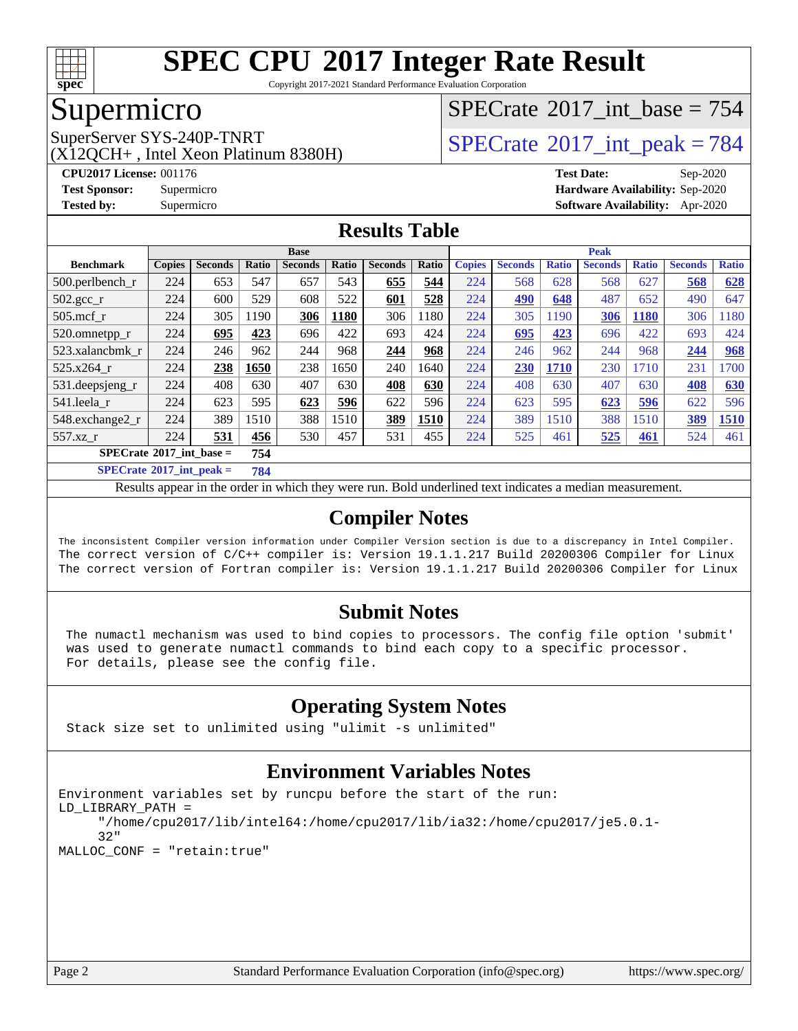

Copyright 2017-2021 Standard Performance Evaluation Corporation

### Supermicro

(X12QCH+ , Intel Xeon Platinum 8380H)

 $SPECTate$ <sup>®</sup>[2017\\_int\\_base =](http://www.spec.org/auto/cpu2017/Docs/result-fields.html#SPECrate2017intbase) 754

SuperServer SYS-240P-TNRT  $\begin{array}{c|c} |SPECTate^{\circ}2017\_int\_peak = 784 \ \hline \end{array}$ 

**[CPU2017 License:](http://www.spec.org/auto/cpu2017/Docs/result-fields.html#CPU2017License)** 001176 **[Test Date:](http://www.spec.org/auto/cpu2017/Docs/result-fields.html#TestDate)** Sep-2020 **[Test Sponsor:](http://www.spec.org/auto/cpu2017/Docs/result-fields.html#TestSponsor)** Supermicro **[Hardware Availability:](http://www.spec.org/auto/cpu2017/Docs/result-fields.html#HardwareAvailability)** Sep-2020 **[Tested by:](http://www.spec.org/auto/cpu2017/Docs/result-fields.html#Testedby)** Supermicro **[Software Availability:](http://www.spec.org/auto/cpu2017/Docs/result-fields.html#SoftwareAvailability)** Apr-2020

### **[Results Table](http://www.spec.org/auto/cpu2017/Docs/result-fields.html#ResultsTable)**

|                           | <b>Base</b>                              |                |              |                | <b>Peak</b> |                |       |               |                |              |                |              |                |              |
|---------------------------|------------------------------------------|----------------|--------------|----------------|-------------|----------------|-------|---------------|----------------|--------------|----------------|--------------|----------------|--------------|
| <b>Benchmark</b>          | <b>Copies</b>                            | <b>Seconds</b> | <b>Ratio</b> | <b>Seconds</b> | Ratio       | <b>Seconds</b> | Ratio | <b>Copies</b> | <b>Seconds</b> | <b>Ratio</b> | <b>Seconds</b> | <b>Ratio</b> | <b>Seconds</b> | <b>Ratio</b> |
| $500.$ perlbench_r        | 224                                      | 653            | 547          | 657            | 543         | 655            | 544   | 224           | 568            | 628          | 568            | 627          | 568            | 628          |
| $502.\text{sec}$          | 224                                      | 600            | 529          | 608            | 522         | 601            | 528   | 224           | 490            | 648          | 487            | 652          | 490            | 647          |
| $505$ .mcf $r$            | 224                                      | 305            | 1190         | 306            | 1180        | 306            | 1180  | 224           | 305            | 190          | 306            | 1180         | 306            | 1180         |
| 520.omnetpp_r             | 224                                      | 695            | 423          | 696            | 422         | 693            | 424   | 224           | 695            | 423          | 696            | 422          | 693            | 424          |
| 523.xalancbmk_r           | 224                                      | 246            | 962          | 244            | 968         | 244            | 968   | 224           | 246            | 962          | 244            | 968          | 244            | 968          |
| $525.x264$ r              | 224                                      | 238            | 1650         | 238            | 1650        | 240            | 1640  | 224           | 230            | 1710         | 230            | 1710         | 231            | 1700         |
| $531.$ deepsjeng $_r$     | 224                                      | 408            | 630          | 407            | 630         | 408            | 630   | 224           | 408            | 630          | 407            | 630          | 408            | 630          |
| 541.leela r               | 224                                      | 623            | 595          | 623            | 596         | 622            | 596   | 224           | 623            | 595          | 623            | 596          | 622            | 596          |
| 548.exchange2_r           | 224                                      | 389            | 1510         | 388            | 1510        | 389            | 1510  | 224           | 389            | 1510         | 388            | 1510         | 389            | 1510         |
| 557.xz                    | 224                                      | 531            | 456          | 530            | 457         | 531            | 455   | 224           | 525            | 461          | 525            | 461          | 524            | 461          |
|                           | $SPECrate^{\circ}2017$ int base =<br>754 |                |              |                |             |                |       |               |                |              |                |              |                |              |
| $CDDLO \rightarrow AAAIB$ |                                          | . .            | $-1$         |                |             |                |       |               |                |              |                |              |                |              |

**[SPECrate](http://www.spec.org/auto/cpu2017/Docs/result-fields.html#SPECrate2017intpeak)[2017\\_int\\_peak =](http://www.spec.org/auto/cpu2017/Docs/result-fields.html#SPECrate2017intpeak) 784**

Results appear in the [order in which they were run](http://www.spec.org/auto/cpu2017/Docs/result-fields.html#RunOrder). Bold underlined text [indicates a median measurement](http://www.spec.org/auto/cpu2017/Docs/result-fields.html#Median).

#### **[Compiler Notes](http://www.spec.org/auto/cpu2017/Docs/result-fields.html#CompilerNotes)**

The inconsistent Compiler version information under Compiler Version section is due to a discrepancy in Intel Compiler. The correct version of C/C++ compiler is: Version 19.1.1.217 Build 20200306 Compiler for Linux The correct version of Fortran compiler is: Version 19.1.1.217 Build 20200306 Compiler for Linux

### **[Submit Notes](http://www.spec.org/auto/cpu2017/Docs/result-fields.html#SubmitNotes)**

 The numactl mechanism was used to bind copies to processors. The config file option 'submit' was used to generate numactl commands to bind each copy to a specific processor. For details, please see the config file.

### **[Operating System Notes](http://www.spec.org/auto/cpu2017/Docs/result-fields.html#OperatingSystemNotes)**

Stack size set to unlimited using "ulimit -s unlimited"

### **[Environment Variables Notes](http://www.spec.org/auto/cpu2017/Docs/result-fields.html#EnvironmentVariablesNotes)**

```
Environment variables set by runcpu before the start of the run:
LD_LIBRARY_PATH =
      "/home/cpu2017/lib/intel64:/home/cpu2017/lib/ia32:/home/cpu2017/je5.0.1-
      32"
MALLOC_CONF = "retain:true"
```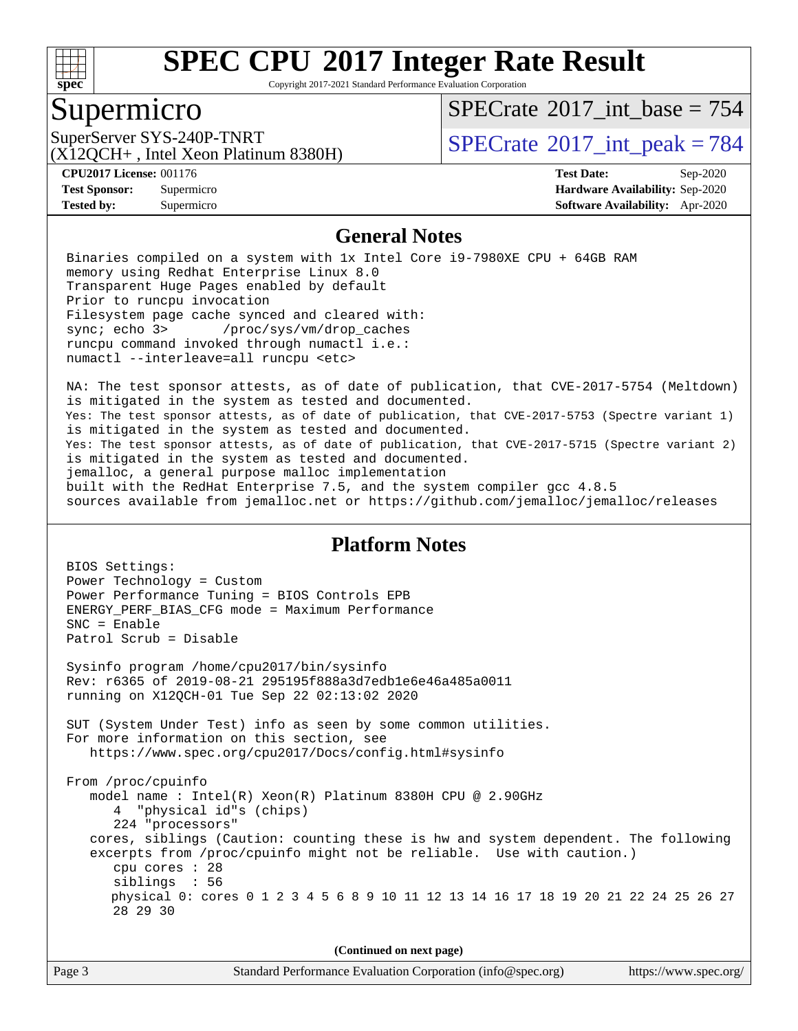

Copyright 2017-2021 Standard Performance Evaluation Corporation

### Supermicro

 $SPECTate$ <sup>®</sup>[2017\\_int\\_base =](http://www.spec.org/auto/cpu2017/Docs/result-fields.html#SPECrate2017intbase) 754

(X12QCH+ , Intel Xeon Platinum 8380H)

SuperServer SYS-240P-TNRT  $\begin{array}{c|c} |SPECTate^{\circ}2017\_int\_peak = 784 \ \hline \end{array}$ 

**[Tested by:](http://www.spec.org/auto/cpu2017/Docs/result-fields.html#Testedby)** Supermicro **[Software Availability:](http://www.spec.org/auto/cpu2017/Docs/result-fields.html#SoftwareAvailability)** Apr-2020

**[CPU2017 License:](http://www.spec.org/auto/cpu2017/Docs/result-fields.html#CPU2017License)** 001176 **[Test Date:](http://www.spec.org/auto/cpu2017/Docs/result-fields.html#TestDate)** Sep-2020 **[Test Sponsor:](http://www.spec.org/auto/cpu2017/Docs/result-fields.html#TestSponsor)** Supermicro **[Hardware Availability:](http://www.spec.org/auto/cpu2017/Docs/result-fields.html#HardwareAvailability)** Sep-2020

#### **[General Notes](http://www.spec.org/auto/cpu2017/Docs/result-fields.html#GeneralNotes)**

 Binaries compiled on a system with 1x Intel Core i9-7980XE CPU + 64GB RAM memory using Redhat Enterprise Linux 8.0 Transparent Huge Pages enabled by default Prior to runcpu invocation Filesystem page cache synced and cleared with: sync; echo 3> /proc/sys/vm/drop\_caches runcpu command invoked through numactl i.e.: numactl --interleave=all runcpu <etc>

 NA: The test sponsor attests, as of date of publication, that CVE-2017-5754 (Meltdown) is mitigated in the system as tested and documented. Yes: The test sponsor attests, as of date of publication, that CVE-2017-5753 (Spectre variant 1) is mitigated in the system as tested and documented. Yes: The test sponsor attests, as of date of publication, that CVE-2017-5715 (Spectre variant 2) is mitigated in the system as tested and documented. jemalloc, a general purpose malloc implementation built with the RedHat Enterprise 7.5, and the system compiler gcc 4.8.5 sources available from jemalloc.net or<https://github.com/jemalloc/jemalloc/releases>

#### **[Platform Notes](http://www.spec.org/auto/cpu2017/Docs/result-fields.html#PlatformNotes)**

 BIOS Settings: Power Technology = Custom Power Performance Tuning = BIOS Controls EPB ENERGY\_PERF\_BIAS\_CFG mode = Maximum Performance SNC = Enable Patrol Scrub = Disable Sysinfo program /home/cpu2017/bin/sysinfo Rev: r6365 of 2019-08-21 295195f888a3d7edb1e6e46a485a0011 running on X12QCH-01 Tue Sep 22 02:13:02 2020 SUT (System Under Test) info as seen by some common utilities. For more information on this section, see <https://www.spec.org/cpu2017/Docs/config.html#sysinfo> From /proc/cpuinfo model name : Intel(R) Xeon(R) Platinum 8380H CPU @ 2.90GHz 4 "physical id"s (chips) 224 "processors" cores, siblings (Caution: counting these is hw and system dependent. The following excerpts from /proc/cpuinfo might not be reliable. Use with caution.) cpu cores : 28 siblings : 56 physical 0: cores 0 1 2 3 4 5 6 8 9 10 11 12 13 14 16 17 18 19 20 21 22 24 25 26 27 28 29 30

**(Continued on next page)**

| Page 3 | Standard Performance Evaluation Corporation (info@spec.org) | https://www.spec.org/ |
|--------|-------------------------------------------------------------|-----------------------|
|--------|-------------------------------------------------------------|-----------------------|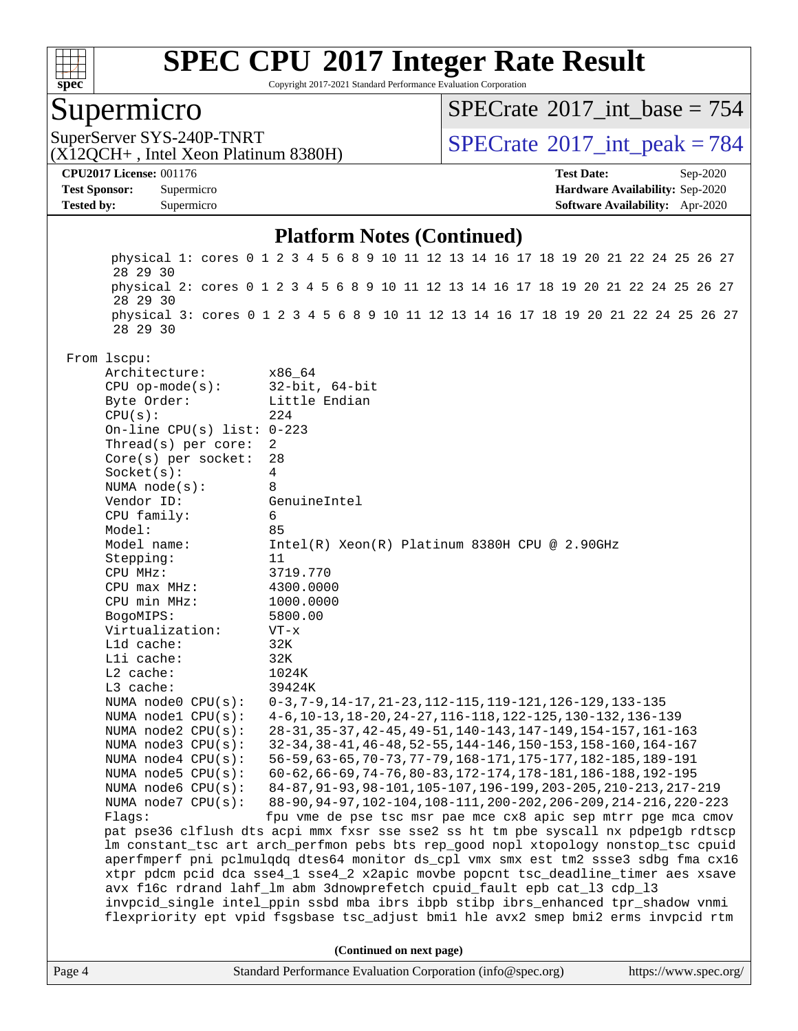

Copyright 2017-2021 Standard Performance Evaluation Corporation

### Supermicro

 $SPECTate$ <sup>®</sup>[2017\\_int\\_base =](http://www.spec.org/auto/cpu2017/Docs/result-fields.html#SPECrate2017intbase) 754

(X12QCH+ , Intel Xeon Platinum 8380H)

SuperServer SYS-240P-TNRT  $\begin{array}{c|c}\n\text{SuperServer SYS-240P-TNRT} & \text{SPECrate} \textcirc 2017\_int\_peak = 784\n\end{array}$  $\begin{array}{c|c}\n\text{SuperServer SYS-240P-TNRT} & \text{SPECrate} \textcirc 2017\_int\_peak = 784\n\end{array}$  $\begin{array}{c|c}\n\text{SuperServer SYS-240P-TNRT} & \text{SPECrate} \textcirc 2017\_int\_peak = 784\n\end{array}$ 

**[CPU2017 License:](http://www.spec.org/auto/cpu2017/Docs/result-fields.html#CPU2017License)** 001176 **[Test Date:](http://www.spec.org/auto/cpu2017/Docs/result-fields.html#TestDate)** Sep-2020 **[Test Sponsor:](http://www.spec.org/auto/cpu2017/Docs/result-fields.html#TestSponsor)** Supermicro **[Hardware Availability:](http://www.spec.org/auto/cpu2017/Docs/result-fields.html#HardwareAvailability)** Sep-2020 **[Tested by:](http://www.spec.org/auto/cpu2017/Docs/result-fields.html#Testedby)** Supermicro **[Software Availability:](http://www.spec.org/auto/cpu2017/Docs/result-fields.html#SoftwareAvailability)** Apr-2020

#### **[Platform Notes \(Continued\)](http://www.spec.org/auto/cpu2017/Docs/result-fields.html#PlatformNotes)**

Page 4 Standard Performance Evaluation Corporation [\(info@spec.org\)](mailto:info@spec.org) <https://www.spec.org/> physical 1: cores 0 1 2 3 4 5 6 8 9 10 11 12 13 14 16 17 18 19 20 21 22 24 25 26 27 28 29 30 physical 2: cores 0 1 2 3 4 5 6 8 9 10 11 12 13 14 16 17 18 19 20 21 22 24 25 26 27 28 29 30 physical 3: cores 0 1 2 3 4 5 6 8 9 10 11 12 13 14 16 17 18 19 20 21 22 24 25 26 27 28 29 30 From lscpu: Architecture: x86\_64 CPU op-mode(s): 32-bit, 64-bit Byte Order: Little Endian  $CPU(s):$  224 On-line CPU(s) list: 0-223 Thread(s) per core: 2 Core(s) per socket: 28 Socket(s): 4 NUMA node(s): 8 Vendor ID: GenuineIntel CPU family: 6 Model: 85 Model name: Intel(R) Xeon(R) Platinum 8380H CPU @ 2.90GHz Stepping: 11 CPU MHz: 3719.770 CPU max MHz: 4300.0000 CPU min MHz: 1000.0000 BogoMIPS: 5800.00 Virtualization: VT-x L1d cache: 32K L1i cache: 32K L2 cache: 1024K L3 cache: 39424K NUMA node0 CPU(s): 0-3,7-9,14-17,21-23,112-115,119-121,126-129,133-135 NUMA node1 CPU(s): 4-6,10-13,18-20,24-27,116-118,122-125,130-132,136-139 NUMA node2 CPU(s): 28-31,35-37,42-45,49-51,140-143,147-149,154-157,161-163 NUMA node3 CPU(s): 32-34,38-41,46-48,52-55,144-146,150-153,158-160,164-167 NUMA node4 CPU(s): 56-59,63-65,70-73,77-79,168-171,175-177,182-185,189-191 NUMA node5 CPU(s): 60-62,66-69,74-76,80-83,172-174,178-181,186-188,192-195<br>NUMA node6 CPU(s): 84-87,91-93,98-101,105-107,196-199,203-205,210-213,217- NUMA node6 CPU(s): 84-87,91-93,98-101,105-107,196-199,203-205,210-213,217-219 NUMA node7 CPU(s): 88-90,94-97,102-104,108-111,200-202,206-209,214-216,220-223 Flags: fpu vme de pse tsc msr pae mce cx8 apic sep mtrr pge mca cmov pat pse36 clflush dts acpi mmx fxsr sse sse2 ss ht tm pbe syscall nx pdpe1gb rdtscp lm constant\_tsc art arch\_perfmon pebs bts rep\_good nopl xtopology nonstop\_tsc cpuid aperfmperf pni pclmulqdq dtes64 monitor ds\_cpl vmx smx est tm2 ssse3 sdbg fma cx16 xtpr pdcm pcid dca sse4\_1 sse4\_2 x2apic movbe popcnt tsc\_deadline\_timer aes xsave avx f16c rdrand lahf\_lm abm 3dnowprefetch cpuid\_fault epb cat\_l3 cdp\_l3 invpcid\_single intel\_ppin ssbd mba ibrs ibpb stibp ibrs\_enhanced tpr\_shadow vnmi flexpriority ept vpid fsgsbase tsc\_adjust bmi1 hle avx2 smep bmi2 erms invpcid rtm **(Continued on next page)**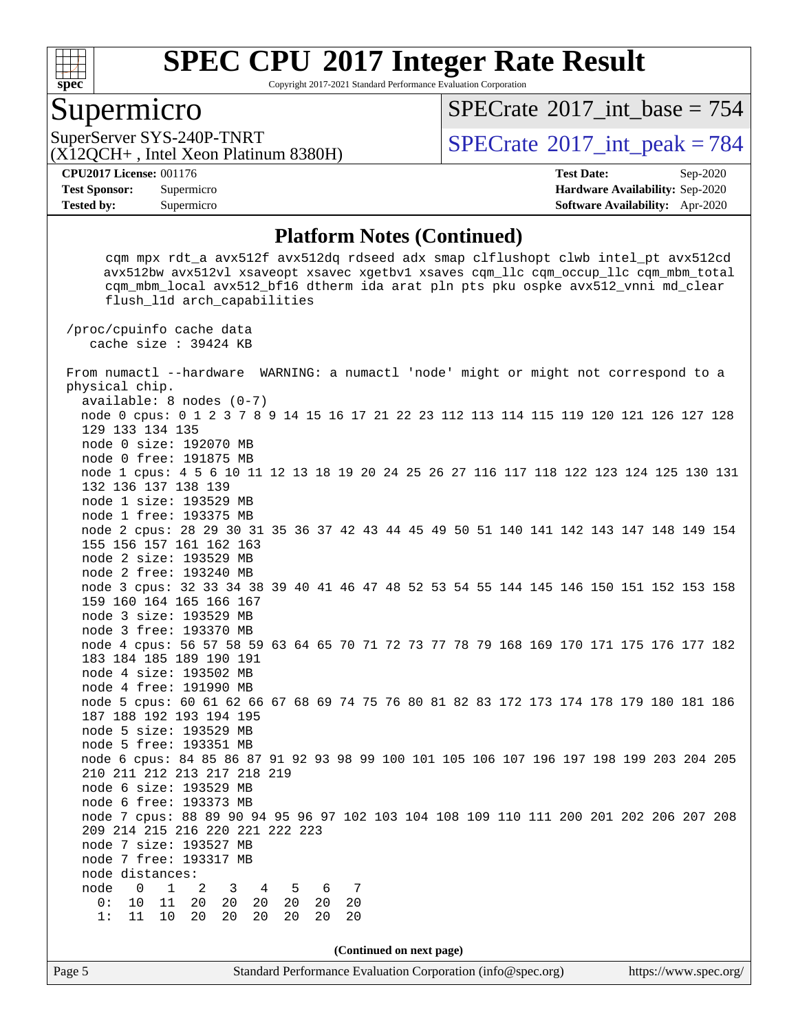

Copyright 2017-2021 Standard Performance Evaluation Corporation

### Supermicro

 $SPECTate$ <sup>®</sup>[2017\\_int\\_base =](http://www.spec.org/auto/cpu2017/Docs/result-fields.html#SPECrate2017intbase) 754

(X12QCH+ , Intel Xeon Platinum 8380H)

SuperServer SYS-240P-TNRT  $SUS - 240P$ -TNRT  $SPECrate \degree 2017$  $SPECrate \degree 2017$  int peak = 784

**[Tested by:](http://www.spec.org/auto/cpu2017/Docs/result-fields.html#Testedby)** Supermicro **[Software Availability:](http://www.spec.org/auto/cpu2017/Docs/result-fields.html#SoftwareAvailability)** Apr-2020

**[CPU2017 License:](http://www.spec.org/auto/cpu2017/Docs/result-fields.html#CPU2017License)** 001176 **[Test Date:](http://www.spec.org/auto/cpu2017/Docs/result-fields.html#TestDate)** Sep-2020 **[Test Sponsor:](http://www.spec.org/auto/cpu2017/Docs/result-fields.html#TestSponsor)** Supermicro **[Hardware Availability:](http://www.spec.org/auto/cpu2017/Docs/result-fields.html#HardwareAvailability)** Sep-2020

#### **[Platform Notes \(Continued\)](http://www.spec.org/auto/cpu2017/Docs/result-fields.html#PlatformNotes)**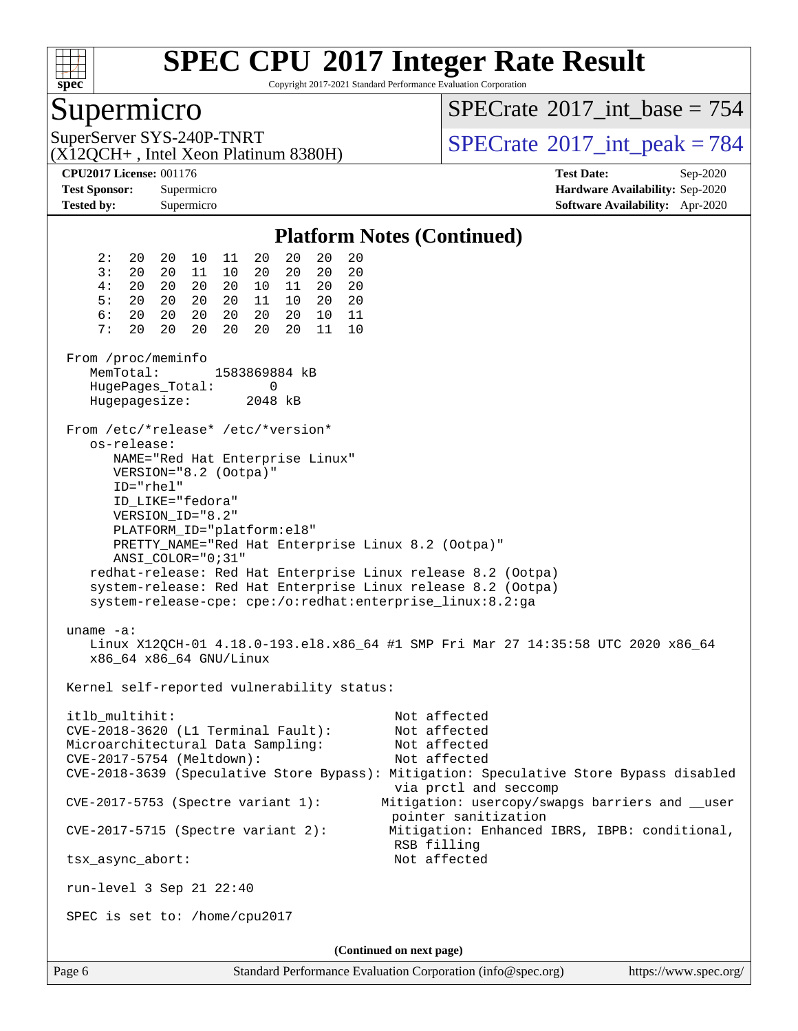

Copyright 2017-2021 Standard Performance Evaluation Corporation

### Supermicro

 $SPECTate$ <sup>®</sup>[2017\\_int\\_base =](http://www.spec.org/auto/cpu2017/Docs/result-fields.html#SPECrate2017intbase) 754

(X12QCH+ , Intel Xeon Platinum 8380H)

SuperServer SYS-240P-TNRT  $SUS - 240P$ -TNRT  $SPECrate \degree 2017$  $SPECrate \degree 2017$  int peak = 784

**[CPU2017 License:](http://www.spec.org/auto/cpu2017/Docs/result-fields.html#CPU2017License)** 001176 **[Test Date:](http://www.spec.org/auto/cpu2017/Docs/result-fields.html#TestDate)** Sep-2020 **[Test Sponsor:](http://www.spec.org/auto/cpu2017/Docs/result-fields.html#TestSponsor)** Supermicro **[Hardware Availability:](http://www.spec.org/auto/cpu2017/Docs/result-fields.html#HardwareAvailability)** Sep-2020 **[Tested by:](http://www.spec.org/auto/cpu2017/Docs/result-fields.html#Testedby)** Supermicro **[Software Availability:](http://www.spec.org/auto/cpu2017/Docs/result-fields.html#SoftwareAvailability)** Apr-2020

#### **[Platform Notes \(Continued\)](http://www.spec.org/auto/cpu2017/Docs/result-fields.html#PlatformNotes)** 2: 20 20 10 11 20 20 20 20 3: 20 20 11 10 20 20 20 20 4: 20 20 20 20 10 11 20 20 5: 20 20 20 20 11 10 20 20 6: 20 20 20 20 20 20 10 11 7: 20 20 20 20 20 20 11 10 From /proc/meminfo MemTotal: 1583869884 kB HugePages\_Total: 0 Hugepagesize: 2048 kB From /etc/\*release\* /etc/\*version\* os-release: NAME="Red Hat Enterprise Linux" VERSION="8.2 (Ootpa)" ID="rhel" ID\_LIKE="fedora" VERSION\_ID="8.2" PLATFORM\_ID="platform:el8" PRETTY\_NAME="Red Hat Enterprise Linux 8.2 (Ootpa)" ANSI\_COLOR="0;31" redhat-release: Red Hat Enterprise Linux release 8.2 (Ootpa) system-release: Red Hat Enterprise Linux release 8.2 (Ootpa) system-release-cpe: cpe:/o:redhat:enterprise\_linux:8.2:ga uname -a: Linux X12QCH-01 4.18.0-193.el8.x86\_64 #1 SMP Fri Mar 27 14:35:58 UTC 2020 x86\_64 x86\_64 x86\_64 GNU/Linux Kernel self-reported vulnerability status: itlb\_multihit: Not affected CVE-2018-3620 (L1 Terminal Fault): Not affected Microarchitectural Data Sampling: Not affected CVE-2017-5754 (Meltdown): Not affected CVE-2018-3639 (Speculative Store Bypass): Mitigation: Speculative Store Bypass disabled via prctl and seccomp CVE-2017-5753 (Spectre variant 1): Mitigation: usercopy/swapgs barriers and \_\_user pointer sanitization CVE-2017-5715 (Spectre variant 2): Mitigation: Enhanced IBRS, IBPB: conditional, RSB filling tsx\_async\_abort: Not affected run-level 3 Sep 21 22:40 SPEC is set to: /home/cpu2017 **(Continued on next page)**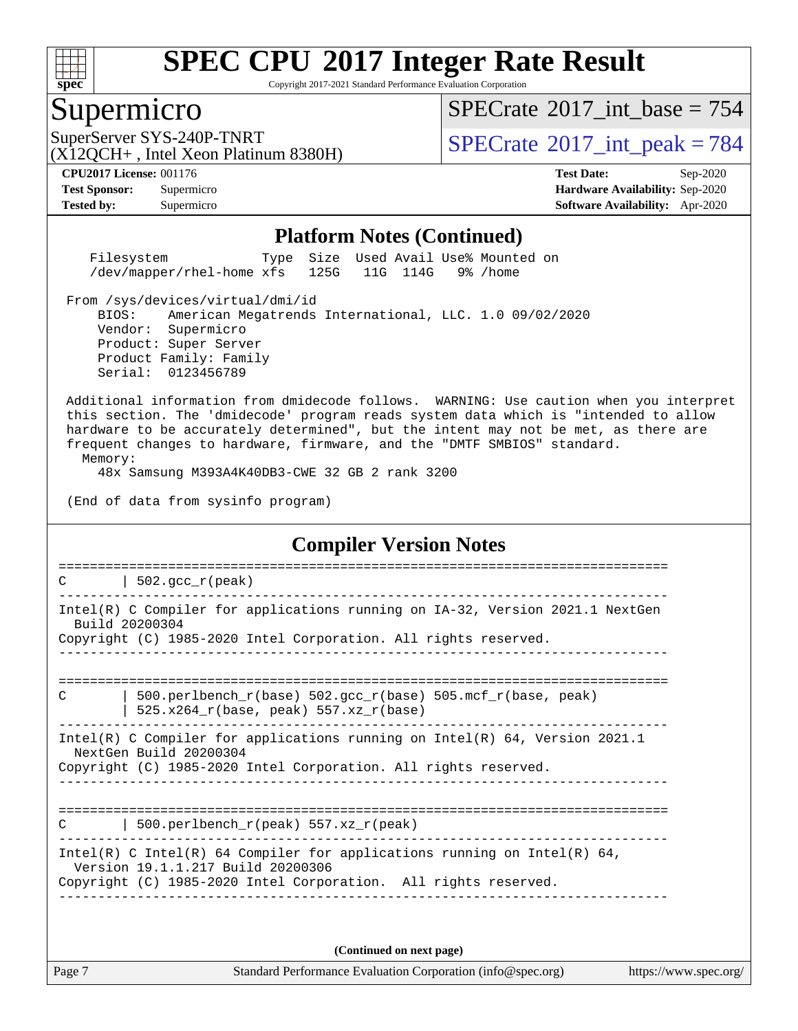

Copyright 2017-2021 Standard Performance Evaluation Corporation

### Supermicro

 $SPECTate$ <sup>®</sup>[2017\\_int\\_base =](http://www.spec.org/auto/cpu2017/Docs/result-fields.html#SPECrate2017intbase) 754

(X12QCH+ , Intel Xeon Platinum 8380H)

SuperServer SYS-240P-TNRT  $\begin{array}{c|c}\n\text{SuperServer SYS-240P-TNRT} \\
\hline\n\text{CX120CH+ Intel Yeon Platinum 8380H)}\n\end{array}$  [SPECrate](http://www.spec.org/auto/cpu2017/Docs/result-fields.html#SPECrate2017intpeak)®[2017\\_int\\_peak = 7](http://www.spec.org/auto/cpu2017/Docs/result-fields.html#SPECrate2017intpeak)84

**[Tested by:](http://www.spec.org/auto/cpu2017/Docs/result-fields.html#Testedby)** Supermicro **[Software Availability:](http://www.spec.org/auto/cpu2017/Docs/result-fields.html#SoftwareAvailability)** Apr-2020

**[CPU2017 License:](http://www.spec.org/auto/cpu2017/Docs/result-fields.html#CPU2017License)** 001176 **[Test Date:](http://www.spec.org/auto/cpu2017/Docs/result-fields.html#TestDate)** Sep-2020 **[Test Sponsor:](http://www.spec.org/auto/cpu2017/Docs/result-fields.html#TestSponsor)** Supermicro **[Hardware Availability:](http://www.spec.org/auto/cpu2017/Docs/result-fields.html#HardwareAvailability)** Sep-2020

#### **[Platform Notes \(Continued\)](http://www.spec.org/auto/cpu2017/Docs/result-fields.html#PlatformNotes)**

 Filesystem Type Size Used Avail Use% Mounted on /dev/mapper/rhel-home xfs 125G 11G 114G 9% /home

From /sys/devices/virtual/dmi/id

 BIOS: American Megatrends International, LLC. 1.0 09/02/2020 Vendor: Supermicro Product: Super Server Product Family: Family Serial: 0123456789

 Additional information from dmidecode follows. WARNING: Use caution when you interpret this section. The 'dmidecode' program reads system data which is "intended to allow hardware to be accurately determined", but the intent may not be met, as there are frequent changes to hardware, firmware, and the "DMTF SMBIOS" standard. Memory:

48x Samsung M393A4K40DB3-CWE 32 GB 2 rank 3200

(End of data from sysinfo program)

#### **[Compiler Version Notes](http://www.spec.org/auto/cpu2017/Docs/result-fields.html#CompilerVersionNotes)**

| $502.\text{qcc r (peak)}$<br>$\mathcal{C}$                                                                                                                                       |
|----------------------------------------------------------------------------------------------------------------------------------------------------------------------------------|
| Intel(R) C Compiler for applications running on IA-32, Version 2021.1 NextGen<br>Build 20200304                                                                                  |
| Copyright (C) 1985-2020 Intel Corporation. All rights reserved.                                                                                                                  |
| 500.perlbench $r(base)$ 502.qcc $r(base)$ 505.mcf $r(base, peak)$<br>C<br>$525.x264_r(base, peak) 557.xz_r(base)$                                                                |
| Intel(R) C Compiler for applications running on Intel(R) $64$ , Version 2021.1<br>NextGen Build 20200304<br>Copyright (C) 1985-2020 Intel Corporation. All rights reserved.      |
| 500.perlbench_r(peak) $557.xz_r$ (peak)<br>C                                                                                                                                     |
| Intel(R) C Intel(R) 64 Compiler for applications running on Intel(R) 64,<br>Version 19.1.1.217 Build 20200306<br>Copyright (C) 1985-2020 Intel Corporation. All rights reserved. |

**(Continued on next page)**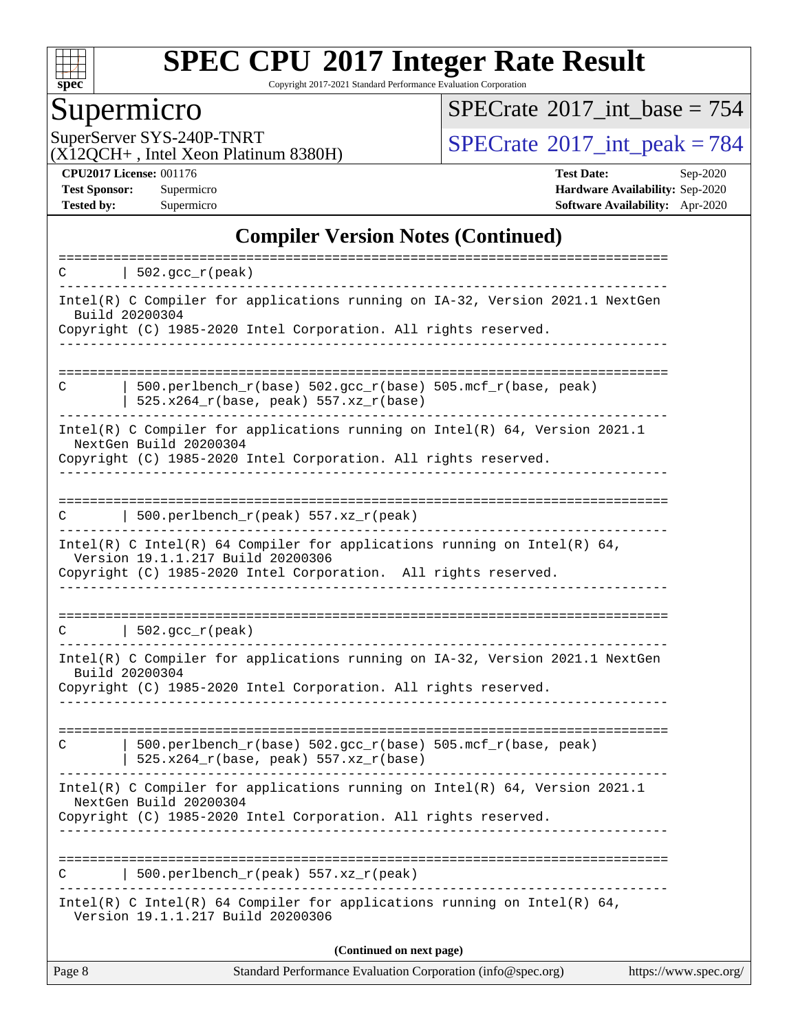

Copyright 2017-2021 Standard Performance Evaluation Corporation

# Supermicro<br>SuperServer SYS-240P-TNRT

 $SPECrate$ <sup>®</sup>[2017\\_int\\_base =](http://www.spec.org/auto/cpu2017/Docs/result-fields.html#SPECrate2017intbase) 754

(X12QCH+ , Intel Xeon Platinum 8380H)

 $SPECTate$ <sup>®</sup>[2017\\_int\\_peak = 7](http://www.spec.org/auto/cpu2017/Docs/result-fields.html#SPECrate2017intpeak)84

**[CPU2017 License:](http://www.spec.org/auto/cpu2017/Docs/result-fields.html#CPU2017License)** 001176 **[Test Date:](http://www.spec.org/auto/cpu2017/Docs/result-fields.html#TestDate)** Sep-2020 **[Test Sponsor:](http://www.spec.org/auto/cpu2017/Docs/result-fields.html#TestSponsor)** Supermicro **[Hardware Availability:](http://www.spec.org/auto/cpu2017/Docs/result-fields.html#HardwareAvailability)** Sep-2020 **[Tested by:](http://www.spec.org/auto/cpu2017/Docs/result-fields.html#Testedby)** Supermicro **[Software Availability:](http://www.spec.org/auto/cpu2017/Docs/result-fields.html#SoftwareAvailability)** Apr-2020

#### **[Compiler Version Notes \(Continued\)](http://www.spec.org/auto/cpu2017/Docs/result-fields.html#CompilerVersionNotes)**

| C      | $\vert$ 502.gcc_r(peak)                                                                                                                                                                                           |                       |
|--------|-------------------------------------------------------------------------------------------------------------------------------------------------------------------------------------------------------------------|-----------------------|
|        | Intel(R) C Compiler for applications running on IA-32, Version 2021.1 NextGen<br>Build 20200304                                                                                                                   |                       |
|        | Copyright (C) 1985-2020 Intel Corporation. All rights reserved.                                                                                                                                                   |                       |
| C      | 500.perlbench_r(base) 502.gcc_r(base) 505.mcf_r(base, peak)<br>$525.x264_r(base, peak) 557.xz_r(base)$                                                                                                            |                       |
|        | Intel(R) C Compiler for applications running on $Intel(R) 64$ , Version 2021.1<br>NextGen Build 20200304<br>Copyright (C) 1985-2020 Intel Corporation. All rights reserved.<br>------------------------------     |                       |
| С      | 500.perlbench_r(peak) 557.xz_r(peak)                                                                                                                                                                              |                       |
|        | Intel(R) C Intel(R) 64 Compiler for applications running on Intel(R) 64,<br>Version 19.1.1.217 Build 20200306<br>Copyright (C) 1985-2020 Intel Corporation. All rights reserved.<br>_____________________________ |                       |
|        | $C$   502.gcc_r(peak)                                                                                                                                                                                             |                       |
|        | Intel(R) C Compiler for applications running on IA-32, Version 2021.1 NextGen<br>Build 20200304<br>Copyright (C) 1985-2020 Intel Corporation. All rights reserved.                                                |                       |
| C      | 500.perlbench_r(base) 502.gcc_r(base) 505.mcf_r(base, peak)<br>$525.x264_r(base, peak) 557.xz_r(base)$                                                                                                            |                       |
|        | Intel(R) C Compiler for applications running on $Intel(R) 64$ , Version 2021.1<br>NextGen Build 20200304<br>Copyright (C) 1985-2020 Intel Corporation. All rights reserved.                                       |                       |
| C      | -------------------------------<br>500.perlbench_r(peak) 557.xz_r(peak)                                                                                                                                           |                       |
|        | Intel(R) C Intel(R) 64 Compiler for applications running on Intel(R) 64,<br>Version 19.1.1.217 Build 20200306                                                                                                     |                       |
|        | (Continued on next page)                                                                                                                                                                                          |                       |
| Page 8 | Standard Performance Evaluation Corporation (info@spec.org)                                                                                                                                                       | https://www.spec.org/ |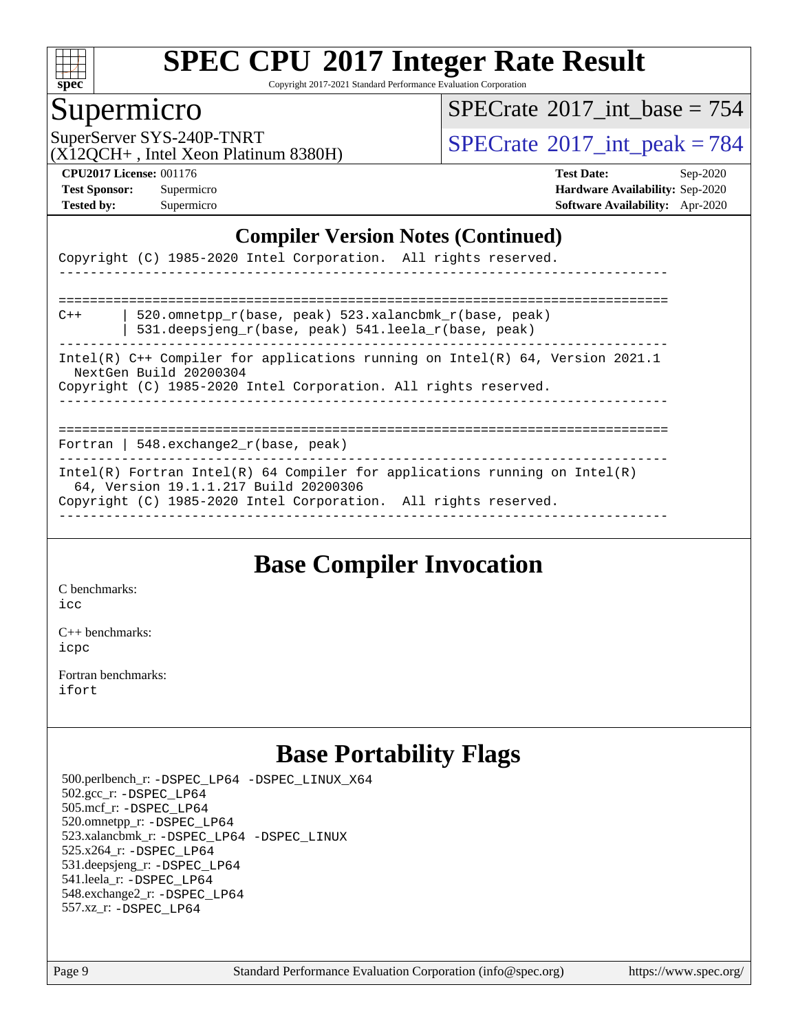

Copyright 2017-2021 Standard Performance Evaluation Corporation

### Supermicro

 $SPECTate$ <sup>®</sup>[2017\\_int\\_base =](http://www.spec.org/auto/cpu2017/Docs/result-fields.html#SPECrate2017intbase) 754

(X12QCH+ , Intel Xeon Platinum 8380H)

SuperServer SYS-240P-TNRT  $\begin{array}{|c|c|c|c|c|}\n\hline\n\text{Supers, First, Find } & \text{Mean,} & \text{Momentum,} & \text{SPECrate} \textcirc 2017\_int\_peak = 784\n\hline\n\end{array}$  $\begin{array}{|c|c|c|c|c|}\n\hline\n\text{Supers, First, Find } & \text{Mean,} & \text{Momentum,} & \text{SPECrate} \textcirc 2017\_int\_peak = 784\n\hline\n\end{array}$  $\begin{array}{|c|c|c|c|c|}\n\hline\n\text{Supers, First, Find } & \text{Mean,} & \text{Momentum,} & \text{SPECrate} \textcirc 2017\_int\_peak = 784\n\hline\n\end{array}$ 

**[CPU2017 License:](http://www.spec.org/auto/cpu2017/Docs/result-fields.html#CPU2017License)** 001176 **[Test Date:](http://www.spec.org/auto/cpu2017/Docs/result-fields.html#TestDate)** Sep-2020 **[Test Sponsor:](http://www.spec.org/auto/cpu2017/Docs/result-fields.html#TestSponsor)** Supermicro **[Hardware Availability:](http://www.spec.org/auto/cpu2017/Docs/result-fields.html#HardwareAvailability)** Sep-2020 **[Tested by:](http://www.spec.org/auto/cpu2017/Docs/result-fields.html#Testedby)** Supermicro **[Software Availability:](http://www.spec.org/auto/cpu2017/Docs/result-fields.html#SoftwareAvailability)** Apr-2020

#### **[Compiler Version Notes \(Continued\)](http://www.spec.org/auto/cpu2017/Docs/result-fields.html#CompilerVersionNotes)**

|       | Copyright (C) 1985-2020 Intel Corporation. All rights reserved.                                                                                                                        |
|-------|----------------------------------------------------------------------------------------------------------------------------------------------------------------------------------------|
|       |                                                                                                                                                                                        |
| $C++$ | 520.omnetpp r(base, peak) 523.xalancbmk r(base, peak)<br>531.deepsjeng $r(base, peak)$ 541.leela $r(base, peak)$                                                                       |
|       | Intel(R) C++ Compiler for applications running on Intel(R) 64, Version 2021.1<br>NextGen Build 20200304<br>Copyright (C) 1985-2020 Intel Corporation. All rights reserved.             |
|       |                                                                                                                                                                                        |
|       | Fortran   548.exchange2 $r(base, peak)$                                                                                                                                                |
|       | Intel(R) Fortran Intel(R) 64 Compiler for applications running on Intel(R)<br>64, Version 19.1.1.217 Build 20200306<br>Copyright (C) 1985-2020 Intel Corporation. All rights reserved. |

### **[Base Compiler Invocation](http://www.spec.org/auto/cpu2017/Docs/result-fields.html#BaseCompilerInvocation)**

[C benchmarks](http://www.spec.org/auto/cpu2017/Docs/result-fields.html#Cbenchmarks):

[icc](http://www.spec.org/cpu2017/results/res2020q4/cpu2017-20200929-24138.flags.html#user_CCbase_intel_icc_66fc1ee009f7361af1fbd72ca7dcefbb700085f36577c54f309893dd4ec40d12360134090235512931783d35fd58c0460139e722d5067c5574d8eaf2b3e37e92)

[C++ benchmarks:](http://www.spec.org/auto/cpu2017/Docs/result-fields.html#CXXbenchmarks) [icpc](http://www.spec.org/cpu2017/results/res2020q4/cpu2017-20200929-24138.flags.html#user_CXXbase_intel_icpc_c510b6838c7f56d33e37e94d029a35b4a7bccf4766a728ee175e80a419847e808290a9b78be685c44ab727ea267ec2f070ec5dc83b407c0218cded6866a35d07)

[Fortran benchmarks](http://www.spec.org/auto/cpu2017/Docs/result-fields.html#Fortranbenchmarks): [ifort](http://www.spec.org/cpu2017/results/res2020q4/cpu2017-20200929-24138.flags.html#user_FCbase_intel_ifort_8111460550e3ca792625aed983ce982f94888b8b503583aa7ba2b8303487b4d8a21a13e7191a45c5fd58ff318f48f9492884d4413fa793fd88dd292cad7027ca)

### **[Base Portability Flags](http://www.spec.org/auto/cpu2017/Docs/result-fields.html#BasePortabilityFlags)**

 500.perlbench\_r: [-DSPEC\\_LP64](http://www.spec.org/cpu2017/results/res2020q4/cpu2017-20200929-24138.flags.html#b500.perlbench_r_basePORTABILITY_DSPEC_LP64) [-DSPEC\\_LINUX\\_X64](http://www.spec.org/cpu2017/results/res2020q4/cpu2017-20200929-24138.flags.html#b500.perlbench_r_baseCPORTABILITY_DSPEC_LINUX_X64) 502.gcc\_r: [-DSPEC\\_LP64](http://www.spec.org/cpu2017/results/res2020q4/cpu2017-20200929-24138.flags.html#suite_basePORTABILITY502_gcc_r_DSPEC_LP64) 505.mcf\_r: [-DSPEC\\_LP64](http://www.spec.org/cpu2017/results/res2020q4/cpu2017-20200929-24138.flags.html#suite_basePORTABILITY505_mcf_r_DSPEC_LP64) 520.omnetpp\_r: [-DSPEC\\_LP64](http://www.spec.org/cpu2017/results/res2020q4/cpu2017-20200929-24138.flags.html#suite_basePORTABILITY520_omnetpp_r_DSPEC_LP64) 523.xalancbmk\_r: [-DSPEC\\_LP64](http://www.spec.org/cpu2017/results/res2020q4/cpu2017-20200929-24138.flags.html#suite_basePORTABILITY523_xalancbmk_r_DSPEC_LP64) [-DSPEC\\_LINUX](http://www.spec.org/cpu2017/results/res2020q4/cpu2017-20200929-24138.flags.html#b523.xalancbmk_r_baseCXXPORTABILITY_DSPEC_LINUX) 525.x264\_r: [-DSPEC\\_LP64](http://www.spec.org/cpu2017/results/res2020q4/cpu2017-20200929-24138.flags.html#suite_basePORTABILITY525_x264_r_DSPEC_LP64) 531.deepsjeng\_r: [-DSPEC\\_LP64](http://www.spec.org/cpu2017/results/res2020q4/cpu2017-20200929-24138.flags.html#suite_basePORTABILITY531_deepsjeng_r_DSPEC_LP64) 541.leela\_r: [-DSPEC\\_LP64](http://www.spec.org/cpu2017/results/res2020q4/cpu2017-20200929-24138.flags.html#suite_basePORTABILITY541_leela_r_DSPEC_LP64) 548.exchange2\_r: [-DSPEC\\_LP64](http://www.spec.org/cpu2017/results/res2020q4/cpu2017-20200929-24138.flags.html#suite_basePORTABILITY548_exchange2_r_DSPEC_LP64) 557.xz\_r: [-DSPEC\\_LP64](http://www.spec.org/cpu2017/results/res2020q4/cpu2017-20200929-24138.flags.html#suite_basePORTABILITY557_xz_r_DSPEC_LP64)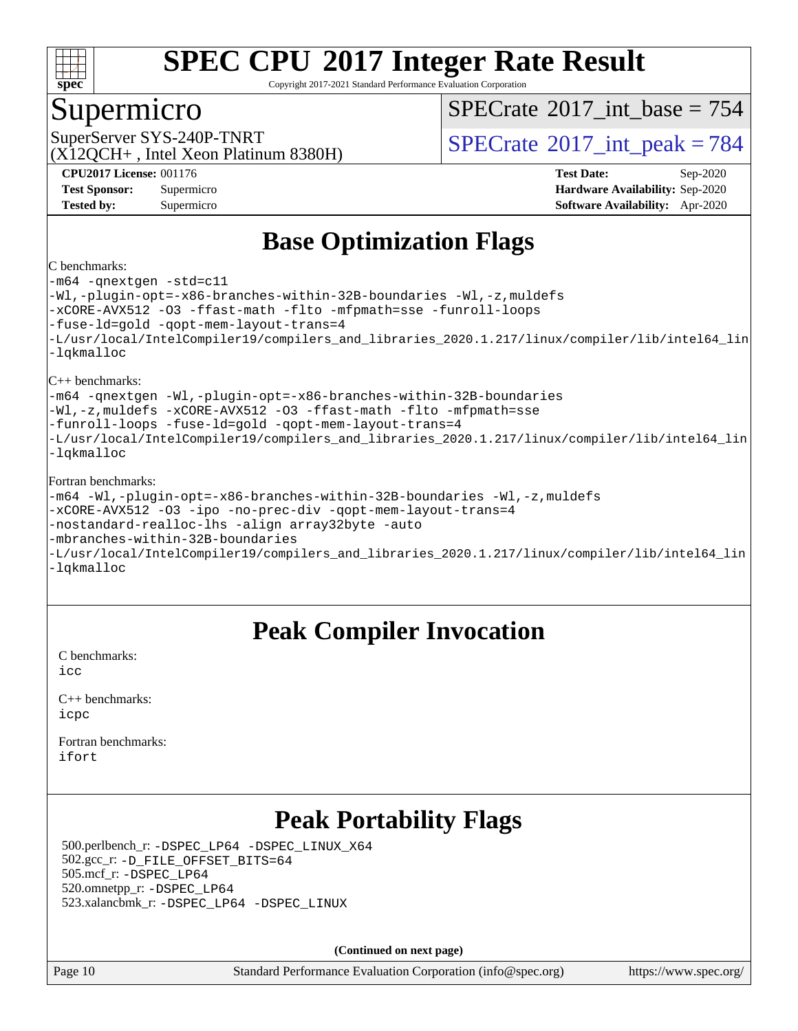

Copyright 2017-2021 Standard Performance Evaluation Corporation

### Supermicro

 $SPECTate$ <sup>®</sup>[2017\\_int\\_base =](http://www.spec.org/auto/cpu2017/Docs/result-fields.html#SPECrate2017intbase) 754

(X12QCH+ , Intel Xeon Platinum 8380H)

SuperServer SYS-240P-TNRT  $SUS - 240P$ -TNRT  $SPECrate \degree 2017$  $SPECrate \degree 2017$  int peak = 784

**[CPU2017 License:](http://www.spec.org/auto/cpu2017/Docs/result-fields.html#CPU2017License)** 001176 **[Test Date:](http://www.spec.org/auto/cpu2017/Docs/result-fields.html#TestDate)** Sep-2020 **[Test Sponsor:](http://www.spec.org/auto/cpu2017/Docs/result-fields.html#TestSponsor)** Supermicro **[Hardware Availability:](http://www.spec.org/auto/cpu2017/Docs/result-fields.html#HardwareAvailability)** Sep-2020 **[Tested by:](http://www.spec.org/auto/cpu2017/Docs/result-fields.html#Testedby)** Supermicro **[Software Availability:](http://www.spec.org/auto/cpu2017/Docs/result-fields.html#SoftwareAvailability)** Apr-2020

### **[Base Optimization Flags](http://www.spec.org/auto/cpu2017/Docs/result-fields.html#BaseOptimizationFlags)**

#### [C benchmarks:](http://www.spec.org/auto/cpu2017/Docs/result-fields.html#Cbenchmarks)

[-m64](http://www.spec.org/cpu2017/results/res2020q4/cpu2017-20200929-24138.flags.html#user_CCbase_m64-icc) [-qnextgen](http://www.spec.org/cpu2017/results/res2020q4/cpu2017-20200929-24138.flags.html#user_CCbase_f-qnextgen) [-std=c11](http://www.spec.org/cpu2017/results/res2020q4/cpu2017-20200929-24138.flags.html#user_CCbase_std-icc-std_0e1c27790398a4642dfca32ffe6c27b5796f9c2d2676156f2e42c9c44eaad0c049b1cdb667a270c34d979996257aeb8fc440bfb01818dbc9357bd9d174cb8524) [-Wl,-plugin-opt=-x86-branches-within-32B-boundaries](http://www.spec.org/cpu2017/results/res2020q4/cpu2017-20200929-24138.flags.html#user_CCbase_f-x86-branches-within-32B-boundaries_0098b4e4317ae60947b7b728078a624952a08ac37a3c797dfb4ffeb399e0c61a9dd0f2f44ce917e9361fb9076ccb15e7824594512dd315205382d84209e912f3) [-Wl,-z,muldefs](http://www.spec.org/cpu2017/results/res2020q4/cpu2017-20200929-24138.flags.html#user_CCbase_link_force_multiple1_b4cbdb97b34bdee9ceefcfe54f4c8ea74255f0b02a4b23e853cdb0e18eb4525ac79b5a88067c842dd0ee6996c24547a27a4b99331201badda8798ef8a743f577) [-xCORE-AVX512](http://www.spec.org/cpu2017/results/res2020q4/cpu2017-20200929-24138.flags.html#user_CCbase_f-xCORE-AVX512) [-O3](http://www.spec.org/cpu2017/results/res2020q4/cpu2017-20200929-24138.flags.html#user_CCbase_f-O3) [-ffast-math](http://www.spec.org/cpu2017/results/res2020q4/cpu2017-20200929-24138.flags.html#user_CCbase_f-ffast-math) [-flto](http://www.spec.org/cpu2017/results/res2020q4/cpu2017-20200929-24138.flags.html#user_CCbase_f-flto) [-mfpmath=sse](http://www.spec.org/cpu2017/results/res2020q4/cpu2017-20200929-24138.flags.html#user_CCbase_f-mfpmath_70eb8fac26bde974f8ab713bc9086c5621c0b8d2f6c86f38af0bd7062540daf19db5f3a066d8c6684be05d84c9b6322eb3b5be6619d967835195b93d6c02afa1) [-funroll-loops](http://www.spec.org/cpu2017/results/res2020q4/cpu2017-20200929-24138.flags.html#user_CCbase_f-funroll-loops) [-fuse-ld=gold](http://www.spec.org/cpu2017/results/res2020q4/cpu2017-20200929-24138.flags.html#user_CCbase_f-fuse-ld_920b3586e2b8c6e0748b9c84fa9b744736ba725a32cab14ad8f3d4ad28eecb2f59d1144823d2e17006539a88734fe1fc08fc3035f7676166309105a78aaabc32) [-qopt-mem-layout-trans=4](http://www.spec.org/cpu2017/results/res2020q4/cpu2017-20200929-24138.flags.html#user_CCbase_f-qopt-mem-layout-trans_fa39e755916c150a61361b7846f310bcdf6f04e385ef281cadf3647acec3f0ae266d1a1d22d972a7087a248fd4e6ca390a3634700869573d231a252c784941a8) [-L/usr/local/IntelCompiler19/compilers\\_and\\_libraries\\_2020.1.217/linux/compiler/lib/intel64\\_lin](http://www.spec.org/cpu2017/results/res2020q4/cpu2017-20200929-24138.flags.html#user_CCbase_linkpath_2cb6f503891ebf8baee7515f4e7d4ec1217444d1d05903cc0091ac4158de400651d2b2313a9fa414cb8a8f0e16ab029634f5c6db340f400369c190d4db8a54a0) [-lqkmalloc](http://www.spec.org/cpu2017/results/res2020q4/cpu2017-20200929-24138.flags.html#user_CCbase_qkmalloc_link_lib_79a818439969f771c6bc311cfd333c00fc099dad35c030f5aab9dda831713d2015205805422f83de8875488a2991c0a156aaa600e1f9138f8fc37004abc96dc5) [C++ benchmarks:](http://www.spec.org/auto/cpu2017/Docs/result-fields.html#CXXbenchmarks) [-m64](http://www.spec.org/cpu2017/results/res2020q4/cpu2017-20200929-24138.flags.html#user_CXXbase_m64-icc) [-qnextgen](http://www.spec.org/cpu2017/results/res2020q4/cpu2017-20200929-24138.flags.html#user_CXXbase_f-qnextgen) [-Wl,-plugin-opt=-x86-branches-within-32B-boundaries](http://www.spec.org/cpu2017/results/res2020q4/cpu2017-20200929-24138.flags.html#user_CXXbase_f-x86-branches-within-32B-boundaries_0098b4e4317ae60947b7b728078a624952a08ac37a3c797dfb4ffeb399e0c61a9dd0f2f44ce917e9361fb9076ccb15e7824594512dd315205382d84209e912f3) [-Wl,-z,muldefs](http://www.spec.org/cpu2017/results/res2020q4/cpu2017-20200929-24138.flags.html#user_CXXbase_link_force_multiple1_b4cbdb97b34bdee9ceefcfe54f4c8ea74255f0b02a4b23e853cdb0e18eb4525ac79b5a88067c842dd0ee6996c24547a27a4b99331201badda8798ef8a743f577) [-xCORE-AVX512](http://www.spec.org/cpu2017/results/res2020q4/cpu2017-20200929-24138.flags.html#user_CXXbase_f-xCORE-AVX512) [-O3](http://www.spec.org/cpu2017/results/res2020q4/cpu2017-20200929-24138.flags.html#user_CXXbase_f-O3) [-ffast-math](http://www.spec.org/cpu2017/results/res2020q4/cpu2017-20200929-24138.flags.html#user_CXXbase_f-ffast-math) [-flto](http://www.spec.org/cpu2017/results/res2020q4/cpu2017-20200929-24138.flags.html#user_CXXbase_f-flto) [-mfpmath=sse](http://www.spec.org/cpu2017/results/res2020q4/cpu2017-20200929-24138.flags.html#user_CXXbase_f-mfpmath_70eb8fac26bde974f8ab713bc9086c5621c0b8d2f6c86f38af0bd7062540daf19db5f3a066d8c6684be05d84c9b6322eb3b5be6619d967835195b93d6c02afa1) [-funroll-loops](http://www.spec.org/cpu2017/results/res2020q4/cpu2017-20200929-24138.flags.html#user_CXXbase_f-funroll-loops) [-fuse-ld=gold](http://www.spec.org/cpu2017/results/res2020q4/cpu2017-20200929-24138.flags.html#user_CXXbase_f-fuse-ld_920b3586e2b8c6e0748b9c84fa9b744736ba725a32cab14ad8f3d4ad28eecb2f59d1144823d2e17006539a88734fe1fc08fc3035f7676166309105a78aaabc32) [-qopt-mem-layout-trans=4](http://www.spec.org/cpu2017/results/res2020q4/cpu2017-20200929-24138.flags.html#user_CXXbase_f-qopt-mem-layout-trans_fa39e755916c150a61361b7846f310bcdf6f04e385ef281cadf3647acec3f0ae266d1a1d22d972a7087a248fd4e6ca390a3634700869573d231a252c784941a8) [-L/usr/local/IntelCompiler19/compilers\\_and\\_libraries\\_2020.1.217/linux/compiler/lib/intel64\\_lin](http://www.spec.org/cpu2017/results/res2020q4/cpu2017-20200929-24138.flags.html#user_CXXbase_linkpath_2cb6f503891ebf8baee7515f4e7d4ec1217444d1d05903cc0091ac4158de400651d2b2313a9fa414cb8a8f0e16ab029634f5c6db340f400369c190d4db8a54a0) [-lqkmalloc](http://www.spec.org/cpu2017/results/res2020q4/cpu2017-20200929-24138.flags.html#user_CXXbase_qkmalloc_link_lib_79a818439969f771c6bc311cfd333c00fc099dad35c030f5aab9dda831713d2015205805422f83de8875488a2991c0a156aaa600e1f9138f8fc37004abc96dc5) [Fortran benchmarks](http://www.spec.org/auto/cpu2017/Docs/result-fields.html#Fortranbenchmarks): [-m64](http://www.spec.org/cpu2017/results/res2020q4/cpu2017-20200929-24138.flags.html#user_FCbase_m64-icc) [-Wl,-plugin-opt=-x86-branches-within-32B-boundaries](http://www.spec.org/cpu2017/results/res2020q4/cpu2017-20200929-24138.flags.html#user_FCbase_f-x86-branches-within-32B-boundaries_0098b4e4317ae60947b7b728078a624952a08ac37a3c797dfb4ffeb399e0c61a9dd0f2f44ce917e9361fb9076ccb15e7824594512dd315205382d84209e912f3) [-Wl,-z,muldefs](http://www.spec.org/cpu2017/results/res2020q4/cpu2017-20200929-24138.flags.html#user_FCbase_link_force_multiple1_b4cbdb97b34bdee9ceefcfe54f4c8ea74255f0b02a4b23e853cdb0e18eb4525ac79b5a88067c842dd0ee6996c24547a27a4b99331201badda8798ef8a743f577)

```
-xCORE-AVX512 -O3 -ipo -no-prec-div -qopt-mem-layout-trans=4
-nostandard-realloc-lhs -align array32byte -auto
-mbranches-within-32B-boundaries
-L/usr/local/IntelCompiler19/compilers_and_libraries_2020.1.217/linux/compiler/lib/intel64_lin
-lqkmalloc
```
### **[Peak Compiler Invocation](http://www.spec.org/auto/cpu2017/Docs/result-fields.html#PeakCompilerInvocation)**

[C benchmarks](http://www.spec.org/auto/cpu2017/Docs/result-fields.html#Cbenchmarks): [icc](http://www.spec.org/cpu2017/results/res2020q4/cpu2017-20200929-24138.flags.html#user_CCpeak_intel_icc_66fc1ee009f7361af1fbd72ca7dcefbb700085f36577c54f309893dd4ec40d12360134090235512931783d35fd58c0460139e722d5067c5574d8eaf2b3e37e92)

| $C_{++}$ benchmarks: |
|----------------------|
| icpc                 |

[Fortran benchmarks](http://www.spec.org/auto/cpu2017/Docs/result-fields.html#Fortranbenchmarks): [ifort](http://www.spec.org/cpu2017/results/res2020q4/cpu2017-20200929-24138.flags.html#user_FCpeak_intel_ifort_8111460550e3ca792625aed983ce982f94888b8b503583aa7ba2b8303487b4d8a21a13e7191a45c5fd58ff318f48f9492884d4413fa793fd88dd292cad7027ca)

### **[Peak Portability Flags](http://www.spec.org/auto/cpu2017/Docs/result-fields.html#PeakPortabilityFlags)**

 500.perlbench\_r: [-DSPEC\\_LP64](http://www.spec.org/cpu2017/results/res2020q4/cpu2017-20200929-24138.flags.html#b500.perlbench_r_peakPORTABILITY_DSPEC_LP64) [-DSPEC\\_LINUX\\_X64](http://www.spec.org/cpu2017/results/res2020q4/cpu2017-20200929-24138.flags.html#b500.perlbench_r_peakCPORTABILITY_DSPEC_LINUX_X64) 502.gcc\_r: [-D\\_FILE\\_OFFSET\\_BITS=64](http://www.spec.org/cpu2017/results/res2020q4/cpu2017-20200929-24138.flags.html#user_peakPORTABILITY502_gcc_r_file_offset_bits_64_5ae949a99b284ddf4e95728d47cb0843d81b2eb0e18bdfe74bbf0f61d0b064f4bda2f10ea5eb90e1dcab0e84dbc592acfc5018bc955c18609f94ddb8d550002c) 505.mcf\_r: [-DSPEC\\_LP64](http://www.spec.org/cpu2017/results/res2020q4/cpu2017-20200929-24138.flags.html#suite_peakPORTABILITY505_mcf_r_DSPEC_LP64) 520.omnetpp\_r: [-DSPEC\\_LP64](http://www.spec.org/cpu2017/results/res2020q4/cpu2017-20200929-24138.flags.html#suite_peakPORTABILITY520_omnetpp_r_DSPEC_LP64) 523.xalancbmk\_r: [-DSPEC\\_LP64](http://www.spec.org/cpu2017/results/res2020q4/cpu2017-20200929-24138.flags.html#suite_peakPORTABILITY523_xalancbmk_r_DSPEC_LP64) [-DSPEC\\_LINUX](http://www.spec.org/cpu2017/results/res2020q4/cpu2017-20200929-24138.flags.html#b523.xalancbmk_r_peakCXXPORTABILITY_DSPEC_LINUX)

**(Continued on next page)**

Page 10 Standard Performance Evaluation Corporation [\(info@spec.org\)](mailto:info@spec.org) <https://www.spec.org/>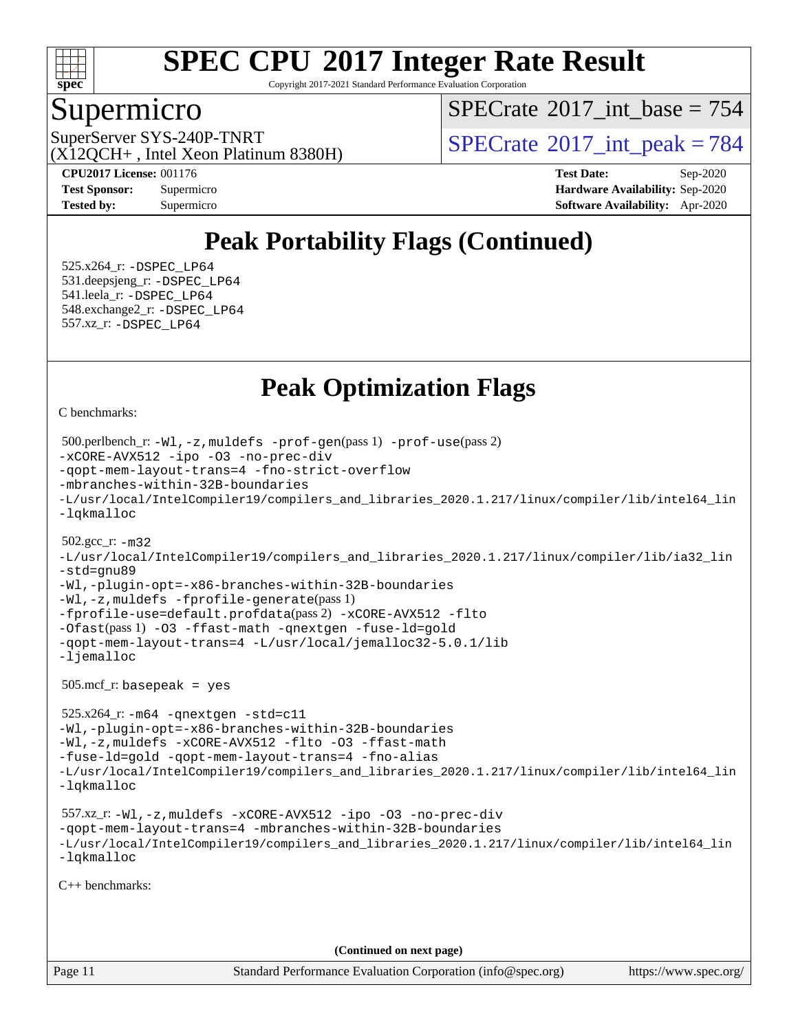

Copyright 2017-2021 Standard Performance Evaluation Corporation

### Supermicro

 $SPECTate$ <sup>®</sup>[2017\\_int\\_base =](http://www.spec.org/auto/cpu2017/Docs/result-fields.html#SPECrate2017intbase) 754

(X12QCH+ , Intel Xeon Platinum 8380H)

SuperServer SYS-240P-TNRT  $SUS - 240P$ -TNRT  $SPECrate \degree 2017$  $SPECrate \degree 2017$ \_int\_peak = 784

**[CPU2017 License:](http://www.spec.org/auto/cpu2017/Docs/result-fields.html#CPU2017License)** 001176 **[Test Date:](http://www.spec.org/auto/cpu2017/Docs/result-fields.html#TestDate)** Sep-2020 **[Test Sponsor:](http://www.spec.org/auto/cpu2017/Docs/result-fields.html#TestSponsor)** Supermicro **[Hardware Availability:](http://www.spec.org/auto/cpu2017/Docs/result-fields.html#HardwareAvailability)** Sep-2020 **[Tested by:](http://www.spec.org/auto/cpu2017/Docs/result-fields.html#Testedby)** Supermicro **[Software Availability:](http://www.spec.org/auto/cpu2017/Docs/result-fields.html#SoftwareAvailability)** Apr-2020

### **[Peak Portability Flags \(Continued\)](http://www.spec.org/auto/cpu2017/Docs/result-fields.html#PeakPortabilityFlags)**

 525.x264\_r: [-DSPEC\\_LP64](http://www.spec.org/cpu2017/results/res2020q4/cpu2017-20200929-24138.flags.html#suite_peakPORTABILITY525_x264_r_DSPEC_LP64) 531.deepsjeng\_r: [-DSPEC\\_LP64](http://www.spec.org/cpu2017/results/res2020q4/cpu2017-20200929-24138.flags.html#suite_peakPORTABILITY531_deepsjeng_r_DSPEC_LP64) 541.leela\_r: [-DSPEC\\_LP64](http://www.spec.org/cpu2017/results/res2020q4/cpu2017-20200929-24138.flags.html#suite_peakPORTABILITY541_leela_r_DSPEC_LP64) 548.exchange2\_r: [-DSPEC\\_LP64](http://www.spec.org/cpu2017/results/res2020q4/cpu2017-20200929-24138.flags.html#suite_peakPORTABILITY548_exchange2_r_DSPEC_LP64) 557.xz\_r: [-DSPEC\\_LP64](http://www.spec.org/cpu2017/results/res2020q4/cpu2017-20200929-24138.flags.html#suite_peakPORTABILITY557_xz_r_DSPEC_LP64)

### **[Peak Optimization Flags](http://www.spec.org/auto/cpu2017/Docs/result-fields.html#PeakOptimizationFlags)**

[C benchmarks](http://www.spec.org/auto/cpu2017/Docs/result-fields.html#Cbenchmarks):

```
Page 11 Standard Performance Evaluation Corporation (info@spec.org) https://www.spec.org/
  500.perlbench_r: -Wl,-z,muldefs -prof-gen(pass 1) -prof-use(pass 2)
-xCORE-AVX512 -ipo -O3 -no-prec-div
-qopt-mem-layout-trans=4 -fno-strict-overflow
-mbranches-within-32B-boundaries
-L/usr/local/IntelCompiler19/compilers_and_libraries_2020.1.217/linux/compiler/lib/intel64_lin
-lqkmalloc
  502.gcc_r: -m32
-L/usr/local/IntelCompiler19/compilers_and_libraries_2020.1.217/linux/compiler/lib/ia32_lin
-std=gnu89
-Wl,-plugin-opt=-x86-branches-within-32B-boundaries
-Wl,-z,muldefs -fprofile-generate(pass 1)
-fprofile-use=default.profdata(pass 2) -xCORE-AVX512 -flto
-Ofast(pass 1) -O3 -ffast-math -qnextgen -fuse-ld=gold
-qopt-mem-layout-trans=4 -L/usr/local/jemalloc32-5.0.1/lib
-ljemalloc
  505.mcf_r: basepeak = yes
  525.x264_r: -m64 -qnextgen -std=c11
-Wl,-plugin-opt=-x86-branches-within-32B-boundaries
-Wl,-z,muldefs -xCORE-AVX512 -flto -O3 -ffast-math
-fuse-ld=gold -qopt-mem-layout-trans=4 -fno-alias
-L/usr/local/IntelCompiler19/compilers_and_libraries_2020.1.217/linux/compiler/lib/intel64_lin
-lqkmalloc
  557.xz_r: -Wl,-z,muldefs -xCORE-AVX512 -ipo -O3 -no-prec-div
-qopt-mem-layout-trans=4 -mbranches-within-32B-boundaries
-L/usr/local/IntelCompiler19/compilers_and_libraries_2020.1.217/linux/compiler/lib/intel64_lin
-lqkmalloc
C++ benchmarks: 
                                      (Continued on next page)
```